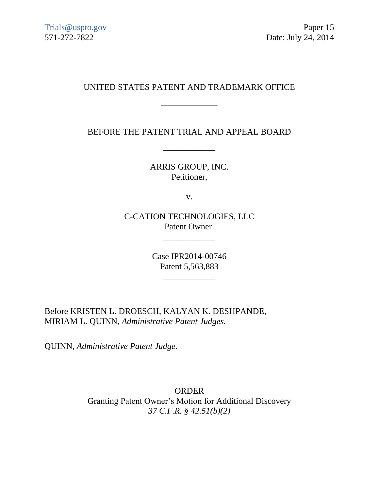# UNITED STATES PATENT AND TRADEMARK OFFICE

\_\_\_\_\_\_\_\_\_\_\_\_\_

BEFORE THE PATENT TRIAL AND APPEAL BOARD

\_\_\_\_\_\_\_\_\_\_\_\_

ARRIS GROUP, INC. Petitioner,

v.

C-CATION TECHNOLOGIES, LLC Patent Owner.

\_\_\_\_\_\_\_\_\_\_\_\_

Case IPR2014-00746 Patent 5,563,883

\_\_\_\_\_\_\_\_\_\_\_\_

Before KRISTEN L. DROESCH, KALYAN K. DESHPANDE, MIRIAM L. QUINN, *Administrative Patent Judges.*

QUINN, *Administrative Patent Judge.*

ORDER Granting Patent Owner's Motion for Additional Discovery *37 C.F.R. § 42.51(b)(2)*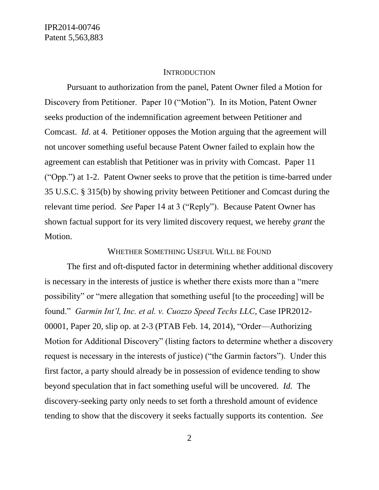#### **INTRODUCTION**

Pursuant to authorization from the panel, Patent Owner filed a Motion for Discovery from Petitioner. Paper 10 ("Motion"). In its Motion, Patent Owner seeks production of the indemnification agreement between Petitioner and Comcast. *Id.* at 4. Petitioner opposes the Motion arguing that the agreement will not uncover something useful because Patent Owner failed to explain how the agreement can establish that Petitioner was in privity with Comcast. Paper 11 ("Opp.") at 1-2. Patent Owner seeks to prove that the petition is time-barred under 35 U.S.C. § 315(b) by showing privity between Petitioner and Comcast during the relevant time period. *See* Paper 14 at 3 ("Reply"). Because Patent Owner has shown factual support for its very limited discovery request, we hereby *grant* the Motion.

### WHETHER SOMETHING USEFUL WILL BE FOUND

The first and oft-disputed factor in determining whether additional discovery is necessary in the interests of justice is whether there exists more than a "mere possibility" or "mere allegation that something useful [to the proceeding] will be found." *Garmin Int'l, Inc. et al. v. Cuozzo Speed Techs LLC,* Case IPR2012- 00001, Paper 20, slip op. at 2-3 (PTAB Feb. 14, 2014), "Order—Authorizing Motion for Additional Discovery" (listing factors to determine whether a discovery request is necessary in the interests of justice) ("the Garmin factors"). Under this first factor, a party should already be in possession of evidence tending to show beyond speculation that in fact something useful will be uncovered. *Id.* The discovery-seeking party only needs to set forth a threshold amount of evidence tending to show that the discovery it seeks factually supports its contention. *See*

2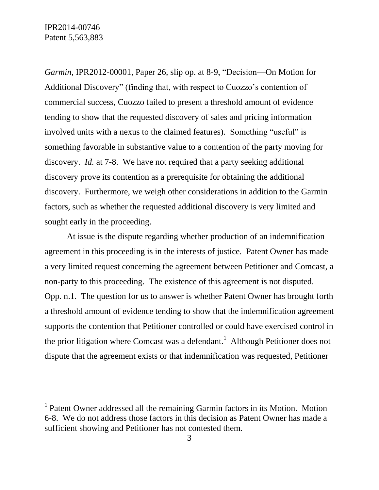*Garmin,* IPR2012-00001, Paper 26, slip op. at 8-9, "Decision—On Motion for Additional Discovery" (finding that, with respect to Cuozzo's contention of commercial success, Cuozzo failed to present a threshold amount of evidence tending to show that the requested discovery of sales and pricing information involved units with a nexus to the claimed features). Something "useful" is something favorable in substantive value to a contention of the party moving for discovery. *Id.* at 7-8. We have not required that a party seeking additional discovery prove its contention as a prerequisite for obtaining the additional discovery. Furthermore, we weigh other considerations in addition to the Garmin factors, such as whether the requested additional discovery is very limited and sought early in the proceeding.

At issue is the dispute regarding whether production of an indemnification agreement in this proceeding is in the interests of justice. Patent Owner has made a very limited request concerning the agreement between Petitioner and Comcast, a non-party to this proceeding. The existence of this agreement is not disputed. Opp. n.1. The question for us to answer is whether Patent Owner has brought forth a threshold amount of evidence tending to show that the indemnification agreement supports the contention that Petitioner controlled or could have exercised control in the prior litigation where Comcast was a defendant.<sup>1</sup> Although Petitioner does not dispute that the agreement exists or that indemnification was requested, Petitioner

 $\overline{a}$ 

<sup>&</sup>lt;sup>1</sup> Patent Owner addressed all the remaining Garmin factors in its Motion. Motion 6-8. We do not address those factors in this decision as Patent Owner has made a sufficient showing and Petitioner has not contested them.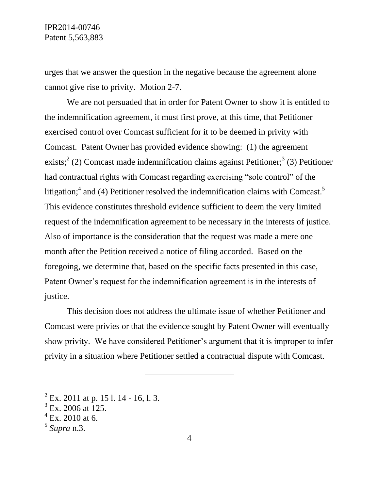IPR2014-00746 Patent 5,563,883

urges that we answer the question in the negative because the agreement alone cannot give rise to privity. Motion 2-7.

We are not persuaded that in order for Patent Owner to show it is entitled to the indemnification agreement, it must first prove, at this time, that Petitioner exercised control over Comcast sufficient for it to be deemed in privity with Comcast. Patent Owner has provided evidence showing: (1) the agreement exists;<sup>2</sup> (2) Comcast made indemnification claims against Petitioner;<sup>3</sup> (3) Petitioner had contractual rights with Comcast regarding exercising "sole control" of the litigation;<sup>4</sup> and (4) Petitioner resolved the indemnification claims with Comcast.<sup>5</sup> This evidence constitutes threshold evidence sufficient to deem the very limited request of the indemnification agreement to be necessary in the interests of justice. Also of importance is the consideration that the request was made a mere one month after the Petition received a notice of filing accorded. Based on the foregoing, we determine that, based on the specific facts presented in this case, Patent Owner's request for the indemnification agreement is in the interests of justice.

This decision does not address the ultimate issue of whether Petitioner and Comcast were privies or that the evidence sought by Patent Owner will eventually show privity. We have considered Petitioner's argument that it is improper to infer privity in a situation where Petitioner settled a contractual dispute with Comcast.

 $\overline{a}$ 

 $^{2}$  Ex. 2011 at p. 15 l. 14 - 16, l. 3.

 $3$  Ex. 2006 at 125.

 $4$  Ex. 2010 at 6.

<sup>5</sup> *Supra* n.3.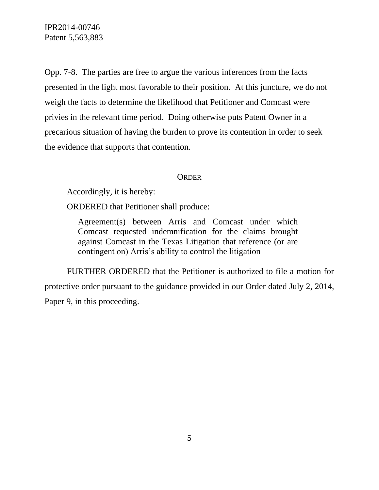IPR2014-00746 Patent 5,563,883

Opp. 7-8. The parties are free to argue the various inferences from the facts presented in the light most favorable to their position. At this juncture, we do not weigh the facts to determine the likelihood that Petitioner and Comcast were privies in the relevant time period. Doing otherwise puts Patent Owner in a precarious situation of having the burden to prove its contention in order to seek the evidence that supports that contention.

### **ORDER**

Accordingly, it is hereby:

ORDERED that Petitioner shall produce:

Agreement(s) between Arris and Comcast under which Comcast requested indemnification for the claims brought against Comcast in the Texas Litigation that reference (or are contingent on) Arris's ability to control the litigation

FURTHER ORDERED that the Petitioner is authorized to file a motion for protective order pursuant to the guidance provided in our Order dated July 2, 2014, Paper 9, in this proceeding.